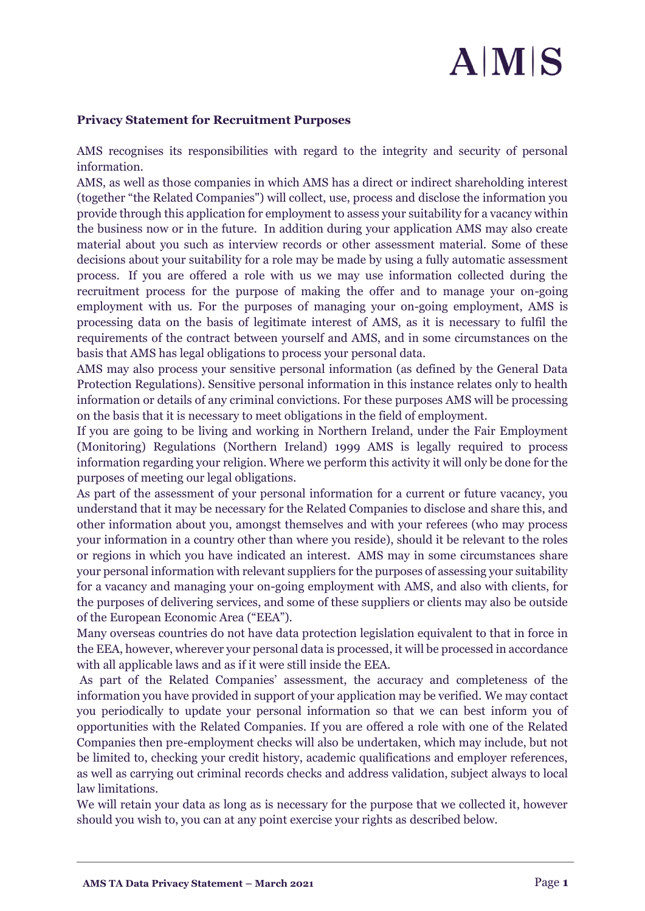## $A|M|S$

## **Privacy Statement for Recruitment Purposes**

AMS recognises its responsibilities with regard to the integrity and security of personal information.

AMS, as well as those companies in which AMS has a direct or indirect shareholding interest (together "the Related Companies") will collect, use, process and disclose the information you provide through this application for employment to assess your suitability for a vacancy within the business now or in the future. In addition during your application AMS may also create material about you such as interview records or other assessment material. Some of these decisions about your suitability for a role may be made by using a fully automatic assessment process. If you are offered a role with us we may use information collected during the recruitment process for the purpose of making the offer and to manage your on-going employment with us. For the purposes of managing your on-going employment, AMS is processing data on the basis of legitimate interest of AMS, as it is necessary to fulfil the requirements of the contract between yourself and AMS, and in some circumstances on the basis that AMS has legal obligations to process your personal data.

AMS may also process your sensitive personal information (as defined by the General Data Protection Regulations). Sensitive personal information in this instance relates only to health information or details of any criminal convictions. For these purposes AMS will be processing on the basis that it is necessary to meet obligations in the field of employment.

If you are going to be living and working in Northern Ireland, under the Fair Employment (Monitoring) Regulations (Northern Ireland) 1999 AMS is legally required to process information regarding your religion. Where we perform this activity it will only be done for the purposes of meeting our legal obligations.

As part of the assessment of your personal information for a current or future vacancy, you understand that it may be necessary for the Related Companies to disclose and share this, and other information about you, amongst themselves and with your referees (who may process your information in a country other than where you reside), should it be relevant to the roles or regions in which you have indicated an interest. AMS may in some circumstances share your personal information with relevant suppliers for the purposes of assessing your suitability for a vacancy and managing your on-going employment with AMS, and also with clients, for the purposes of delivering services, and some of these suppliers or clients may also be outside of the European Economic Area ("EEA").

Many overseas countries do not have data protection legislation equivalent to that in force in the EEA, however, wherever your personal data is processed, it will be processed in accordance with all applicable laws and as if it were still inside the EEA.

As part of the Related Companies' assessment, the accuracy and completeness of the information you have provided in support of your application may be verified. We may contact you periodically to update your personal information so that we can best inform you of opportunities with the Related Companies. If you are offered a role with one of the Related Companies then pre-employment checks will also be undertaken, which may include, but not be limited to, checking your credit history, academic qualifications and employer references, as well as carrying out criminal records checks and address validation, subject always to local law limitations.

We will retain your data as long as is necessary for the purpose that we collected it, however should you wish to, you can at any point exercise your rights as described below.